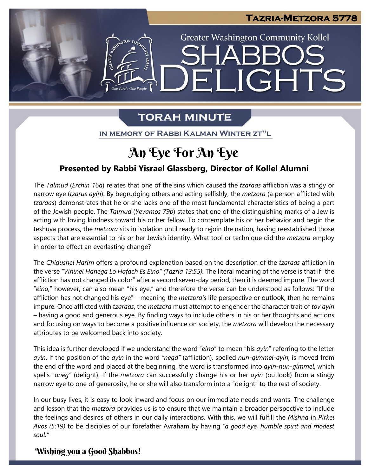

LIGHTS

**Greater Washington Community Kollel** 

# **TORAH MINUTE**

 $|\Xi|$ 

**ANTERNATION CO.** 

One Torah. One People

IN MEMORY OF RABBI KALMAN WINTER ZT"L

### ĺ **An Eye For An Eye**

## **Presented by Rabbi Yisrael Glassberg, Director of Kollel Alumni**

The *Talmud* (*Erchin 16a*) relates that one of the sins which caused the *tzaraas* affliction was a stingy or narrow eye (*tzarus ayin*). By begrudging others and acting selfishly, the *metzora* (a person afflicted with *tzaraas*) demonstrates that he or she lacks one of the most fundamental characteristics of being a part of the Jewish people. The *Talmud* (*Yevamos 79b*) states that one of the distinguishing marks of a Jew is or the Jewish people. The *Fulfilla (Fevanios 190)* states that one of the distinguishing marks of a Jew is<br>acting with loving kindness toward his or her fellow. To contemplate his or her behavior and begin the<br>toching pre teshuva process, the *metzora* sits in isolation until ready to rejoin the nation, having reestablished those aspects that are essential to his or her Jewish identity. What tool or technique did the *metzora* employ in order to effect an everlasting change? in order to effect an everlasting change?

The *Chidushei Harim* offers a profound explanation based on the description of the *tzaraas* affliction in the verse *"Vihinei Hanega Lo Hafach Es Eino" (Tazria 13:55).* The literal meaning of the verse is that if "the affliction has not changed its color" after a second seven-day period, then it is deemed impure. The word "*eino,*" however, can also mean "his eye," and therefore the verse can be understood as follows: "If the affliction has not changed his eye" – meaning the *metzora's* life perspective or outlook, then he remains impure. Once afflicted with *tzaraas*, the *metzora* must attempt to engender the character trait of *tov ayin –* having a good and generous eye. By finding ways to include others in his or her thoughts and actions and focusing on ways to become a positive influence on society, the *metzora* will develop the necessary attributes to be welcomed back into society.

This idea is further developed if we understand the word "*eino*" to mean "his *ayin*" referring to the letter *ayin*. If the position of the *ayin* in the word *"nega"* (affliction)*,* spelled *nun-gimmel-ayin,* is moved from the end of the word and placed at the beginning, the word is transformed into *ayin-nun-gimmel*, which spells "*oneg"* (delight). If the *metzora* can successfully change his or her *ayin* (outlook) from a stingy narrow eye to one of generosity, he or she will also transform into a "delight" to the rest of society.

In our busy lives, it is easy to look inward and focus on our immediate needs and wants. The challenge and lesson that the *metzora* provides us is to ensure that we maintain a broader perspective to include the feelings and desires of others in our daily interactions. With this, we will fulfill the *Mishna* in *Pirkei Avos (5:19)* to be disciples of our forefather Avraham by having *"a good eye, humble spirit and modest soul."*

## **Wishing you a Good Shabbos!**